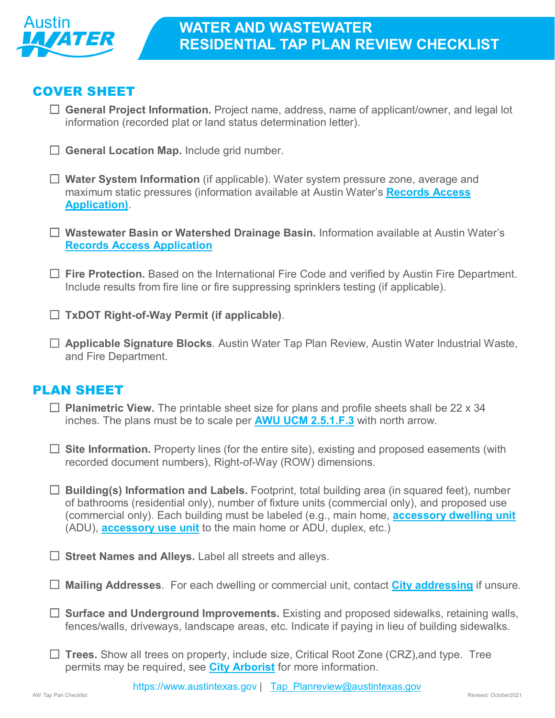

### COVER SHEET

 **General Project Information.** Project name, address, name of applicant/owner, and legal lot information (recorded plat or land status determination letter).

- □ General Location Map. Include grid number.
- **Water System Information** (if applicable). Water system pressure zone, average and maximum static pressures (information available at Austin Water's **[Records Access](https://www.austintexas.gov/water/GIS_EXTERN/GIS_AccessRequest_Form.cfm)  [Application\)](https://www.austintexas.gov/water/GIS_EXTERN/GIS_AccessRequest_Form.cfm)**.
- **Wastewater Basin or Watershed Drainage Basin.** Information available at Austin Water's **[Records Access Application](https://www.austintexas.gov/water/GIS_EXTERN/GIS_AccessRequest_Form.cfm)**
- □ Fire Protection. Based on the International Fire Code and verified by Austin Fire Department. Include results from fire line or fire suppressing sprinklers testing (if applicable).
- **TxDOT Right-of-Way Permit (if applicable)**.
- **Applicable Signature Blocks**. Austin Water Tap Plan Review, Austin Water Industrial Waste, and Fire Department.

# PLAN SHEET

- **Planimetric View.** The printable sheet size for plans and profile sheets shall be 22 x 34 inches. The plans must be to scale per **[AWU UCM 2.5.1.F.3](https://library.municode.com/tx/austin/codes/utilities_criteria_manual?nodeId=S2WAREWAWACR_2.5.0COPLINSURE_2.5.1GE)** with north arrow.
- □ Site Information. Property lines (for the entire site), existing and proposed easements (with recorded document numbers), Right-of-Way (ROW) dimensions.
- **Building(s) Information and Labels.** Footprint, total building area (in squared feet), number of bathrooms (residential only), number of fixture units (commercial only), and proposed use (commercial only). Each building must be labeled (e.g., main home, **[accessory dwelling unit](https://library.municode.com/tx/austin/codes/land_development_code?nodeId=TIT25LADE_CH25-2ZO_SUBCHAPTER_CUSDERE_ART4ADRECEUS_SPARESPUS_S25-2-774TMIREUS)** (ADU), **[accessory use unit](https://library.municode.com/tx/austin/codes/code_of_ordinances?nodeId=TIT25LADE_CH25-2ZO_SUBCHAPTER_CUSDERE_ART5ACUS_S25-2-893ACUSPRREUS)** to the main home or ADU, duplex, etc.)
- □ Street Names and Alleys. Label all streets and alleys.
- **Mailing Addresses**. For each dwelling or commercial unit, contact **[City addressing](mailto:Addressing@austintexas.gov)** if unsure.
- □ **Surface and Underground Improvements.** Existing and proposed sidewalks, retaining walls, fences/walls, driveways, landscape areas, etc. Indicate if paying in lieu of building sidewalks.
- **Trees.** Show all trees on property, include size, Critical Root Zone (CRZ),and type. Tree permits may be required, see **[City Arborist](http://www.austintexas.gov/department/city-arborist)** for more information.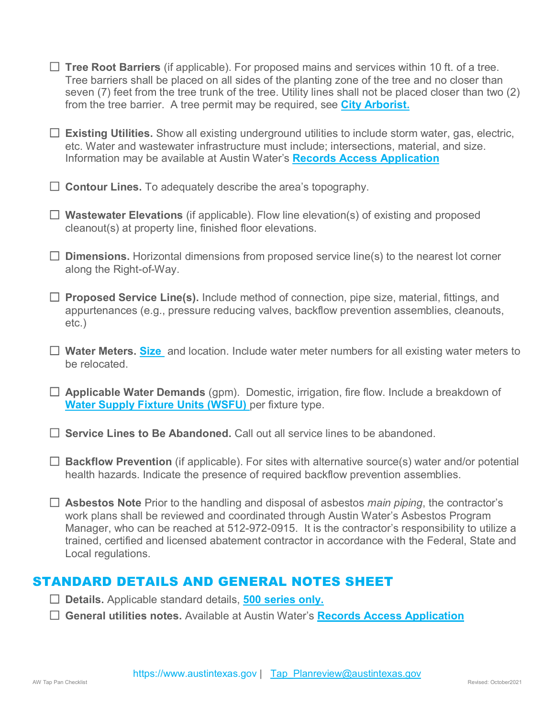- **Tree Root Barriers** (if applicable). For proposed mains and services within 10 ft. of a tree. Tree barriers shall be placed on all sides of the planting zone of the tree and no closer than seven (7) feet from the tree trunk of the tree. Utility lines shall not be placed closer than two (2) from the tree barrier. A tree permit may be required, see **[City Arborist.](http://www.austintexas.gov/department/city-arborist)**
- **Existing Utilities.** Show all existing underground utilities to include storm water, gas, electric, etc. Water and wastewater infrastructure must include; intersections, material, and size. Information may be available at Austin Water's **[Records Access Application](https://www.austintexas.gov/water/GIS_EXTERN/GIS_AccessRequest_Form.cfm)**
- **Contour Lines.** To adequately describe the area's topography.
- **Wastewater Elevations** (if applicable). Flow line elevation(s) of existing and proposed cleanout(s) at property line, finished floor elevations.
- **Dimensions.** Horizontal dimensions from proposed service line(s) to the nearest lot corner along the Right-of-Way.
- **Proposed Service Line(s).** Include method of connection, pipe size, material, fittings, and appurtenances (e.g., pressure reducing valves, backflow prevention assemblies, cleanouts, etc.)
- **Water Meters. [Size](https://www.austintexas.gov/water/watercal/index.cfm)** and location. Include water meter numbers for all existing water meters to be relocated.
- **Applicable Water Demands** (gpm). Domestic, irrigation, fire flow. Include a breakdown of **[Water Supply Fixture Units \(WSFU\)](https://www.austintexas.gov/water/watercal/index.cfm)** per fixture type.
- **Service Lines to Be Abandoned.** Call out all service lines to be abandoned.
- **Backflow Prevention** (if applicable). For sites with alternative source(s) water and/or potential health hazards. Indicate the presence of required backflow prevention assemblies.
- **Asbestos Note** Prior to the handling and disposal of asbestos *main piping*, the contractor's work plans shall be reviewed and coordinated through Austin Water's Asbestos Program Manager, who can be reached at 512-972-0915. It is the contractor's responsibility to utilize a trained, certified and licensed abatement contractor in accordance with the Federal, State and Local regulations.

### STANDARD DETAILS AND GENERAL NOTES SHEET

- **Details.** Applicable standard details, **[500 series only.](https://library.municode.com/tx/austin/codes/standards_manual)**
- **General utilities notes.** Available at Austin Water's **[Records Access Application](https://www.austintexas.gov/water/GIS_EXTERN/GIS_AccessRequest_Form.cfm)**